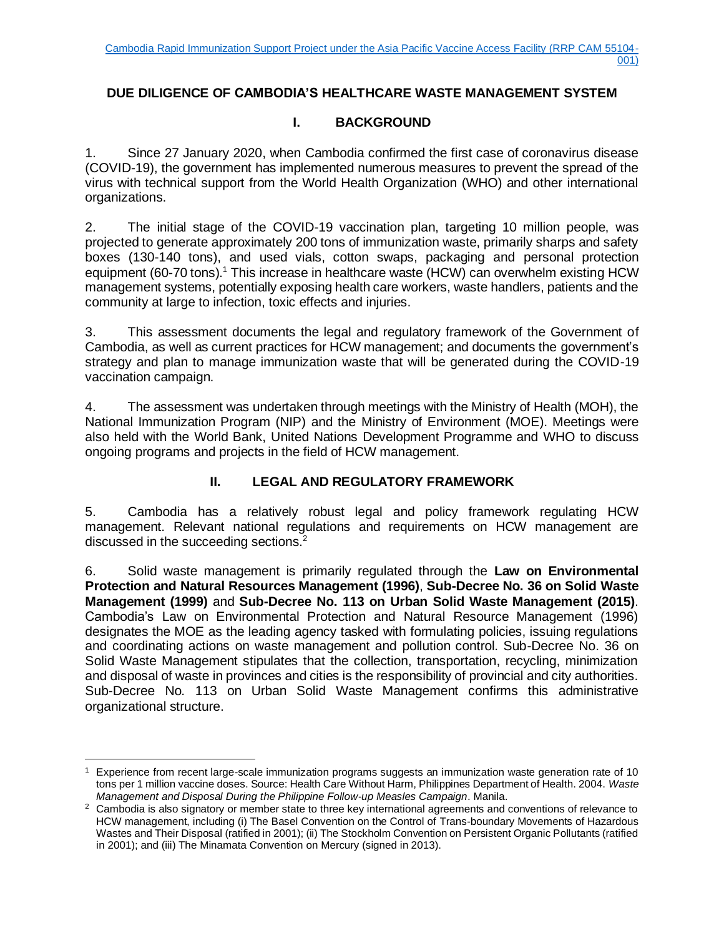# **DUE DILIGENCE OF CAMBODIA'S HEALTHCARE WASTE MANAGEMENT SYSTEM**

# **I. BACKGROUND**

1. Since 27 January 2020, when Cambodia confirmed the first case of coronavirus disease (COVID-19), the government has implemented numerous measures to prevent the spread of the virus with technical support from the World Health Organization (WHO) and other international organizations.

2. The initial stage of the COVID-19 vaccination plan, targeting 10 million people, was projected to generate approximately 200 tons of immunization waste, primarily sharps and safety boxes (130-140 tons), and used vials, cotton swaps, packaging and personal protection equipment (60-70 tons).<sup>1</sup> This increase in healthcare waste (HCW) can overwhelm existing HCW management systems, potentially exposing health care workers, waste handlers, patients and the community at large to infection, toxic effects and injuries.

3. This assessment documents the legal and regulatory framework of the Government of Cambodia, as well as current practices for HCW management; and documents the government's strategy and plan to manage immunization waste that will be generated during the COVID-19 vaccination campaign.

4. The assessment was undertaken through meetings with the Ministry of Health (MOH), the National Immunization Program (NIP) and the Ministry of Environment (MOE). Meetings were also held with the World Bank, United Nations Development Programme and WHO to discuss ongoing programs and projects in the field of HCW management.

### **II. LEGAL AND REGULATORY FRAMEWORK**

5. Cambodia has a relatively robust legal and policy framework regulating HCW management. Relevant national regulations and requirements on HCW management are discussed in the succeeding sections.<sup>2</sup>

6. Solid waste management is primarily regulated through the **Law on Environmental Protection and Natural Resources Management (1996)**, **Sub-Decree No. 36 on Solid Waste Management (1999)** and **Sub-Decree No. 113 on Urban Solid Waste Management (2015)**. Cambodia's Law on Environmental Protection and Natural Resource Management (1996) designates the MOE as the leading agency tasked with formulating policies, issuing regulations and coordinating actions on waste management and pollution control. Sub-Decree No. 36 on Solid Waste Management stipulates that the collection, transportation, recycling, minimization and disposal of waste in provinces and cities is the responsibility of provincial and city authorities. Sub-Decree No. 113 on Urban Solid Waste Management confirms this administrative organizational structure.

 $1$  Experience from recent large-scale immunization programs suggests an immunization waste generation rate of 10 tons per 1 million vaccine doses. Source: Health Care Without Harm, Philippines Department of Health. 2004. *Waste Management and Disposal During the Philippine Follow-up Measles Campaign*. Manila.

<sup>&</sup>lt;sup>2</sup> Cambodia is also signatory or member state to three key international agreements and conventions of relevance to HCW management, including (i) The Basel Convention on the Control of Trans-boundary Movements of Hazardous Wastes and Their Disposal (ratified in 2001); (ii) The Stockholm Convention on Persistent Organic Pollutants (ratified in 2001); and (iii) The Minamata Convention on Mercury (signed in 2013).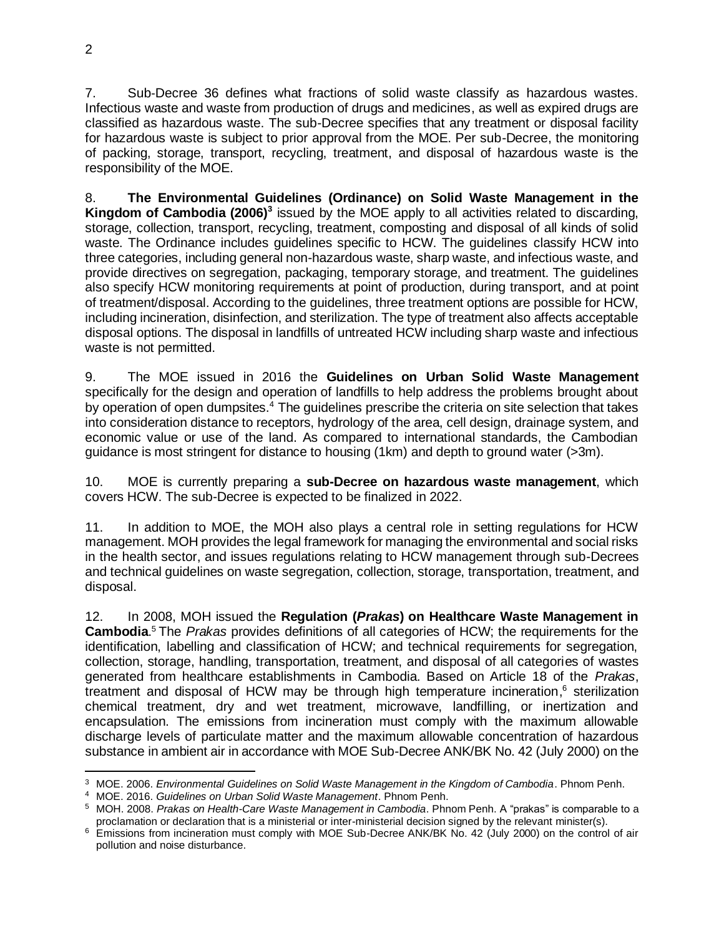7. Sub‐Decree 36 defines what fractions of solid waste classify as hazardous wastes. Infectious waste and waste from production of drugs and medicines, as well as expired drugs are classified as hazardous waste. The sub-Decree specifies that any treatment or disposal facility for hazardous waste is subject to prior approval from the MOE. Per sub-Decree, the monitoring of packing, storage, transport, recycling, treatment, and disposal of hazardous waste is the responsibility of the MOE.

8. **The Environmental Guidelines (Ordinance) on Solid Waste Management in the Kingdom of Cambodia (2006)<sup>3</sup>** issued by the MOE apply to all activities related to discarding, storage, collection, transport, recycling, treatment, composting and disposal of all kinds of solid waste. The Ordinance includes guidelines specific to HCW. The guidelines classify HCW into three categories, including general non-hazardous waste, sharp waste, and infectious waste, and provide directives on segregation, packaging, temporary storage, and treatment. The guidelines also specify HCW monitoring requirements at point of production, during transport, and at point of treatment/disposal. According to the guidelines, three treatment options are possible for HCW, including incineration, disinfection, and sterilization. The type of treatment also affects acceptable disposal options. The disposal in landfills of untreated HCW including sharp waste and infectious waste is not permitted.

9. The MOE issued in 2016 the **Guidelines on Urban Solid Waste Management** specifically for the design and operation of landfills to help address the problems brought about by operation of open dumpsites.<sup>4</sup> The guidelines prescribe the criteria on site selection that takes into consideration distance to receptors, hydrology of the area, cell design, drainage system, and economic value or use of the land. As compared to international standards, the Cambodian guidance is most stringent for distance to housing (1km) and depth to ground water (>3m).

10. MOE is currently preparing a **sub-Decree on hazardous waste management**, which covers HCW. The sub-Decree is expected to be finalized in 2022.

11. In addition to MOE, the MOH also plays a central role in setting regulations for HCW management. MOH provides the legal framework for managing the environmental and social risks in the health sector, and issues regulations relating to HCW management through sub-Decrees and technical guidelines on waste segregation, collection, storage, transportation, treatment, and disposal.

12. In 2008, MOH issued the **Regulation (***Prakas***) on Healthcare Waste Management in Cambodia**. <sup>5</sup> The *Prakas* provides definitions of all categories of HCW; the requirements for the identification, labelling and classification of HCW; and technical requirements for segregation, collection, storage, handling, transportation, treatment, and disposal of all categories of wastes generated from healthcare establishments in Cambodia. Based on Article 18 of the *Prakas*, treatment and disposal of HCW may be through high temperature incineration, <sup>6</sup> sterilization chemical treatment, dry and wet treatment, microwave, landfilling, or inertization and encapsulation. The emissions from incineration must comply with the maximum allowable discharge levels of particulate matter and the maximum allowable concentration of hazardous substance in ambient air in accordance with MOE Sub-Decree ANK/BK No. 42 (July 2000) on the

<sup>3</sup> MOE. 2006. *Environmental Guidelines on Solid Waste Management in the Kingdom of Cambodia*. Phnom Penh.

<sup>4</sup> MOE. 2016. *Guidelines on Urban Solid Waste Management*. Phnom Penh.

<sup>5</sup> MOH. 2008. *Prakas on Health-Care Waste Management in Cambodia*. Phnom Penh. A "prakas" is comparable to a proclamation or declaration that is a ministerial or inter-ministerial decision signed by the relevant minister(s).

<sup>6</sup> Emissions from incineration must comply with MOE Sub-Decree ANK/BK No. 42 (July 2000) on the control of air pollution and noise disturbance.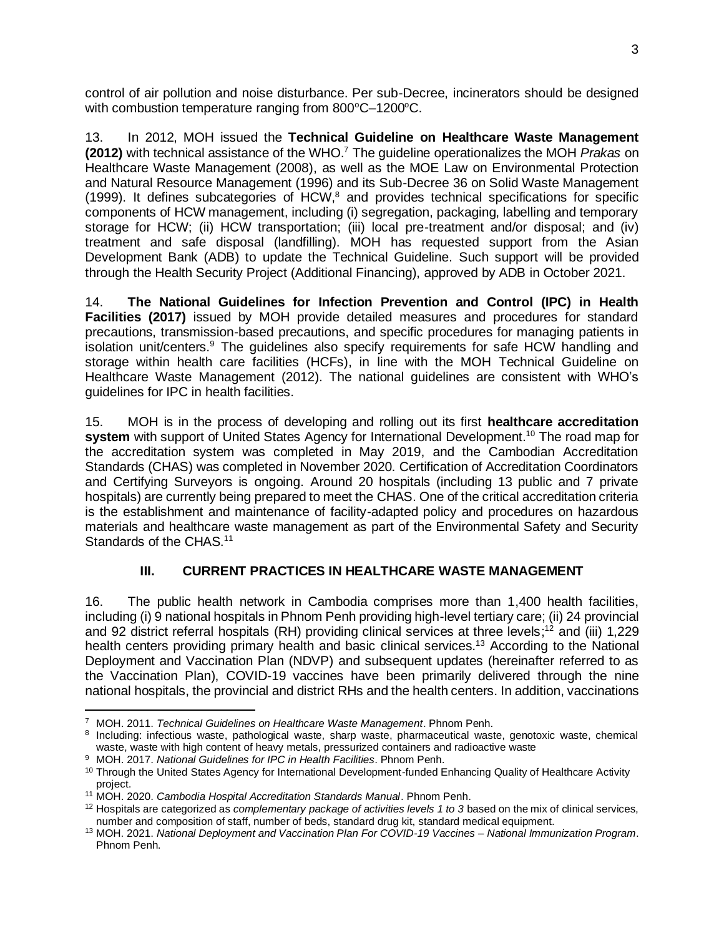control of air pollution and noise disturbance. Per sub-Decree, incinerators should be designed with combustion temperature ranging from  $800^{\circ}$ C–1200 $^{\circ}$ C.

13. In 2012, MOH issued the **Technical Guideline on Healthcare Waste Management (2012)** with technical assistance of the WHO. <sup>7</sup> The guideline operationalizes the MOH *Prakas* on Healthcare Waste Management (2008), as well as the MOE Law on Environmental Protection and Natural Resource Management (1996) and its Sub-Decree 36 on Solid Waste Management  $(1999)$ . It defines subcategories of HCW,<sup>8</sup> and provides technical specifications for specific components of HCW management, including (i) segregation, packaging, labelling and temporary storage for HCW; (ii) HCW transportation; (iii) local pre-treatment and/or disposal; and (iv) treatment and safe disposal (landfilling). MOH has requested support from the Asian Development Bank (ADB) to update the Technical Guideline. Such support will be provided through the Health Security Project (Additional Financing), approved by ADB in October 2021.

14. **The National Guidelines for Infection Prevention and Control (IPC) in Health Facilities (2017)** issued by MOH provide detailed measures and procedures for standard precautions, transmission-based precautions, and specific procedures for managing patients in isolation unit/centers.<sup>9</sup> The guidelines also specify requirements for safe HCW handling and storage within health care facilities (HCFs), in line with the MOH Technical Guideline on Healthcare Waste Management (2012). The national guidelines are consistent with WHO's guidelines for IPC in health facilities.

15. MOH is in the process of developing and rolling out its first **healthcare accreditation system** with support of United States Agency for International Development. <sup>10</sup> The road map for the accreditation system was completed in May 2019, and the Cambodian Accreditation Standards (CHAS) was completed in November 2020. Certification of Accreditation Coordinators and Certifying Surveyors is ongoing. Around 20 hospitals (including 13 public and 7 private hospitals) are currently being prepared to meet the CHAS. One of the critical accreditation criteria is the establishment and maintenance of facility-adapted policy and procedures on hazardous materials and healthcare waste management as part of the Environmental Safety and Security Standards of the CHAS.<sup>11</sup>

# **III. CURRENT PRACTICES IN HEALTHCARE WASTE MANAGEMENT**

16. The public health network in Cambodia comprises more than 1,400 health facilities, including (i) 9 national hospitals in Phnom Penh providing high-level tertiary care; (ii) 24 provincial and 92 district referral hospitals (RH) providing clinical services at three levels;<sup>12</sup> and (iii) 1,229 health centers providing primary health and basic clinical services.<sup>13</sup> According to the National Deployment and Vaccination Plan (NDVP) and subsequent updates (hereinafter referred to as the Vaccination Plan), COVID-19 vaccines have been primarily delivered through the nine national hospitals, the provincial and district RHs and the health centers. In addition, vaccinations

<sup>7</sup> MOH. 2011. *Technical Guidelines on Healthcare Waste Management*. Phnom Penh.

<sup>8</sup> Including: infectious waste, pathological waste, sharp waste, pharmaceutical waste, genotoxic waste, chemical waste, waste with high content of heavy metals, pressurized containers and radioactive waste

<sup>9</sup> MOH. 2017. *National Guidelines for IPC in Health Facilities*. Phnom Penh.

<sup>&</sup>lt;sup>10</sup> Through the United States Agency for International Development-funded Enhancing Quality of Healthcare Activity project.

<sup>11</sup> MOH. 2020. *Cambodia Hospital Accreditation Standards Manual*. Phnom Penh.

<sup>12</sup> Hospitals are categorized as *complementary package of activities levels 1 to 3* based on the mix of clinical services, number and composition of staff, number of beds, standard drug kit, standard medical equipment.

<sup>13</sup> MOH. 2021. *National Deployment and Vaccination Plan For COVID-19 Vaccines – National Immunization Program*. Phnom Penh.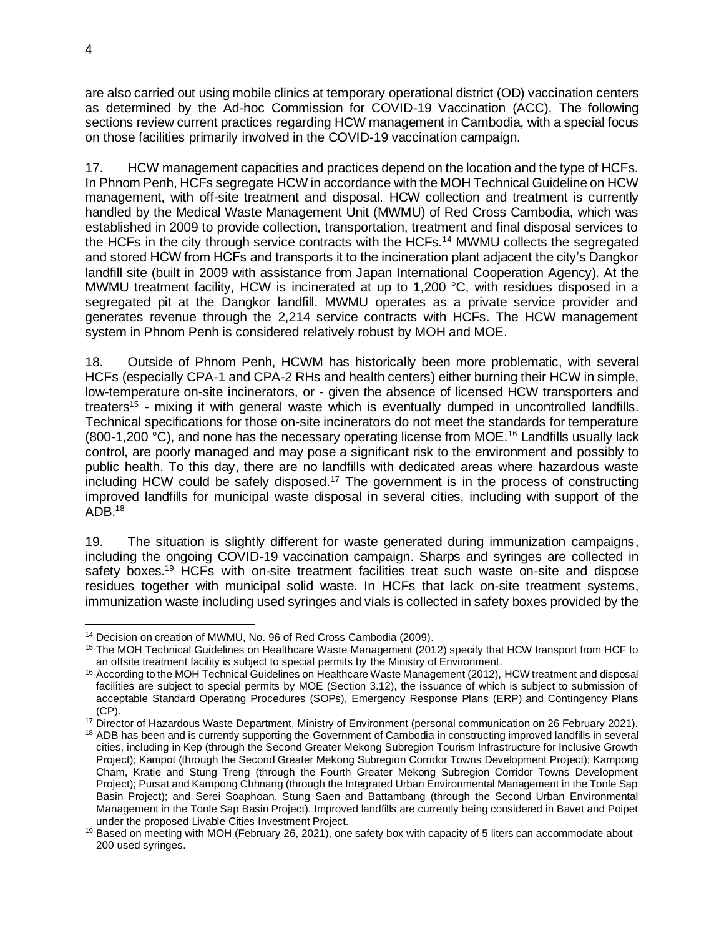are also carried out using mobile clinics at temporary operational district (OD) vaccination centers as determined by the Ad-hoc Commission for COVID-19 Vaccination (ACC). The following sections review current practices regarding HCW management in Cambodia, with a special focus on those facilities primarily involved in the COVID-19 vaccination campaign.

17. HCW management capacities and practices depend on the location and the type of HCFs. In Phnom Penh, HCFs segregate HCW in accordance with the MOH Technical Guideline on HCW management, with off-site treatment and disposal. HCW collection and treatment is currently handled by the Medical Waste Management Unit (MWMU) of Red Cross Cambodia, which was established in 2009 to provide collection, transportation, treatment and final disposal services to the HCFs in the city through service contracts with the HCFs.<sup>14</sup> MWMU collects the segregated and stored HCW from HCFs and transports it to the incineration plant adjacent the city's Dangkor landfill site (built in 2009 with assistance from Japan International Cooperation Agency). At the MWMU treatment facility, HCW is incinerated at up to 1,200 °C, with residues disposed in a segregated pit at the Dangkor landfill. MWMU operates as a private service provider and generates revenue through the 2,214 service contracts with HCFs. The HCW management system in Phnom Penh is considered relatively robust by MOH and MOE.

18. Outside of Phnom Penh, HCWM has historically been more problematic, with several HCFs (especially CPA-1 and CPA-2 RHs and health centers) either burning their HCW in simple, low-temperature on-site incinerators, or - given the absence of licensed HCW transporters and treaters<sup>15</sup> - mixing it with general waste which is eventually dumped in uncontrolled landfills. Technical specifications for those on-site incinerators do not meet the standards for temperature (800-1,200 °C), and none has the necessary operating license from MOE.<sup>16</sup> Landfills usually lack control, are poorly managed and may pose a significant risk to the environment and possibly to public health. To this day, there are no landfills with dedicated areas where hazardous waste including HCW could be safely disposed.<sup>17</sup> The government is in the process of constructing improved landfills for municipal waste disposal in several cities, including with support of the  $ADB.<sup>18</sup>$ 

19. The situation is slightly different for waste generated during immunization campaigns, including the ongoing COVID-19 vaccination campaign. Sharps and syringes are collected in safety boxes.<sup>19</sup> HCFs with on-site treatment facilities treat such waste on-site and dispose residues together with municipal solid waste. In HCFs that lack on-site treatment systems, immunization waste including used syringes and vials is collected in safety boxes provided by the

<sup>14</sup> Decision on creation of MWMU, No. 96 of Red Cross Cambodia (2009).

<sup>15</sup> The MOH Technical Guidelines on Healthcare Waste Management (2012) specify that HCW transport from HCF to an offsite treatment facility is subject to special permits by the Ministry of Environment.

<sup>&</sup>lt;sup>16</sup> According to the MOH Technical Guidelines on Healthcare Waste Management (2012), HCW treatment and disposal facilities are subject to special permits by MOE (Section 3.12), the issuance of which is subject to submission of acceptable Standard Operating Procedures (SOPs), Emergency Response Plans (ERP) and Contingency Plans (CP).

<sup>&</sup>lt;sup>17</sup> Director of Hazardous Waste Department, Ministry of Environment (personal communication on 26 February 2021).

<sup>&</sup>lt;sup>18</sup> ADB has been and is currently supporting the Government of Cambodia in constructing improved landfills in several cities, including in Kep (through the Second Greater Mekong Subregion Tourism Infrastructure for Inclusive Growth Project); Kampot (through the Second Greater Mekong Subregion Corridor Towns Development Project); Kampong Cham, Kratie and Stung Treng (through the Fourth Greater Mekong Subregion Corridor Towns Development Project); Pursat and Kampong Chhnang (through the Integrated Urban Environmental Management in the Tonle Sap Basin Project); and Serei Soaphoan, Stung Saen and Battambang (through the Second Urban Environmental Management in the Tonle Sap Basin Project). Improved landfills are currently being considered in Bavet and Poipet under the proposed Livable Cities Investment Project.

<sup>19</sup> Based on meeting with MOH (February 26, 2021), one safety box with capacity of 5 liters can accommodate about 200 used syringes.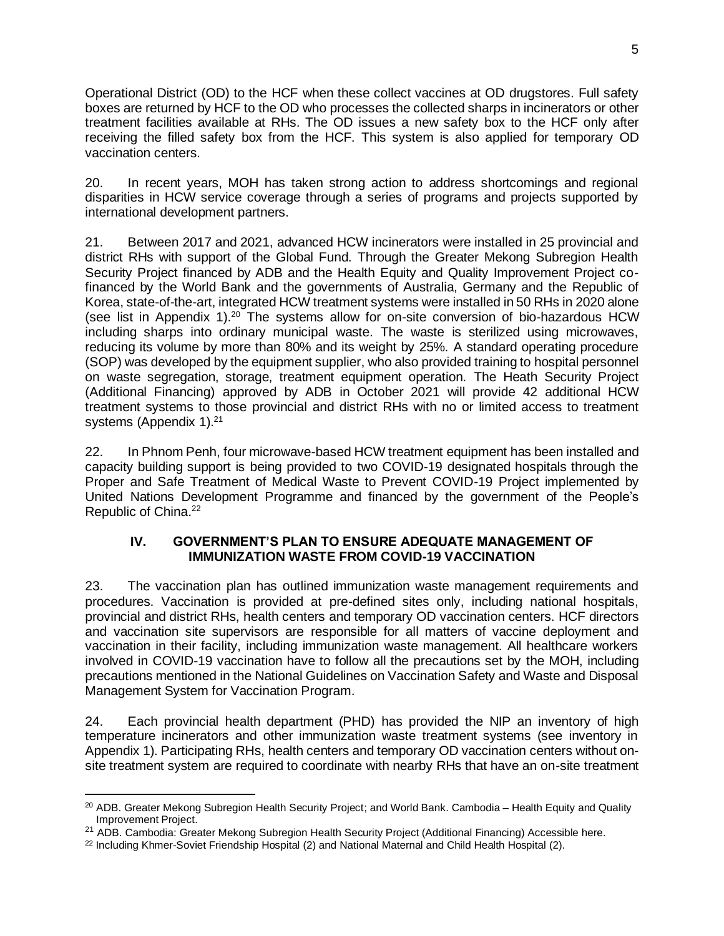Operational District (OD) to the HCF when these collect vaccines at OD drugstores. Full safety boxes are returned by HCF to the OD who processes the collected sharps in incinerators or other treatment facilities available at RHs. The OD issues a new safety box to the HCF only after receiving the filled safety box from the HCF. This system is also applied for temporary OD vaccination centers.

20. In recent years, MOH has taken strong action to address shortcomings and regional disparities in HCW service coverage through a series of programs and projects supported by international development partners.

21. Between 2017 and 2021, advanced HCW incinerators were installed in 25 provincial and district RHs with support of the Global Fund. Through the Greater Mekong Subregion Health Security Project financed by ADB and the Health Equity and Quality Improvement Project cofinanced by the World Bank and the governments of Australia, Germany and the Republic of Korea, state-of-the-art, integrated HCW treatment systems were installed in 50 RHs in 2020 alone (see list in Appendix 1).<sup>20</sup> The systems allow for on-site conversion of bio-hazardous HCW including sharps into ordinary municipal waste. The waste is sterilized using microwaves, reducing its volume by more than 80% and its weight by 25%. A standard operating procedure (SOP) was developed by the equipment supplier, who also provided training to hospital personnel on waste segregation, storage, treatment equipment operation. The Heath Security Project (Additional Financing) approved by ADB in October 2021 will provide 42 additional HCW treatment systems to those provincial and district RHs with no or limited access to treatment systems (Appendix 1).<sup>21</sup>

22. In Phnom Penh, four microwave-based HCW treatment equipment has been installed and capacity building support is being provided to two COVID-19 designated hospitals through the Proper and Safe Treatment of Medical Waste to Prevent COVID-19 Project implemented by United Nations Development Programme and financed by the government of the People's Republic of China.<sup>22</sup>

### **IV. GOVERNMENT'S PLAN TO ENSURE ADEQUATE MANAGEMENT OF IMMUNIZATION WASTE FROM COVID-19 VACCINATION**

23. The vaccination plan has outlined immunization waste management requirements and procedures. Vaccination is provided at pre-defined sites only, including national hospitals, provincial and district RHs, health centers and temporary OD vaccination centers. HCF directors and vaccination site supervisors are responsible for all matters of vaccine deployment and vaccination in their facility, including immunization waste management. All healthcare workers involved in COVID-19 vaccination have to follow all the precautions set by the MOH, including precautions mentioned in the National Guidelines on Vaccination Safety and Waste and Disposal Management System for Vaccination Program.

24. Each provincial health department (PHD) has provided the NIP an inventory of high temperature incinerators and other immunization waste treatment systems (see inventory in Appendix 1). Participating RHs, health centers and temporary OD vaccination centers without onsite treatment system are required to coordinate with nearby RHs that have an on-site treatment

<sup>&</sup>lt;sup>20</sup> ADB. [Greater Mekong Subregion Health Security Project;](https://www.adb.org/projects/48118-002/main) and World Bank. Cambodia – Health Equity and Quality [Improvement Project.](https://www.worldbank.org/en/news/loans-credits/2016/05/19/cambodia-health-equity-and-quality-improvement-project)

<sup>&</sup>lt;sup>21</sup> ADB. Cambodia: Greater Mekong Subregion Health Security Project (Additional Financing) Accessibl[e here.](https://www.adb.org/projects/48118-005/main)

 $22$  Including Khmer-Soviet Friendship Hospital (2) and National Maternal and Child Health Hospital (2).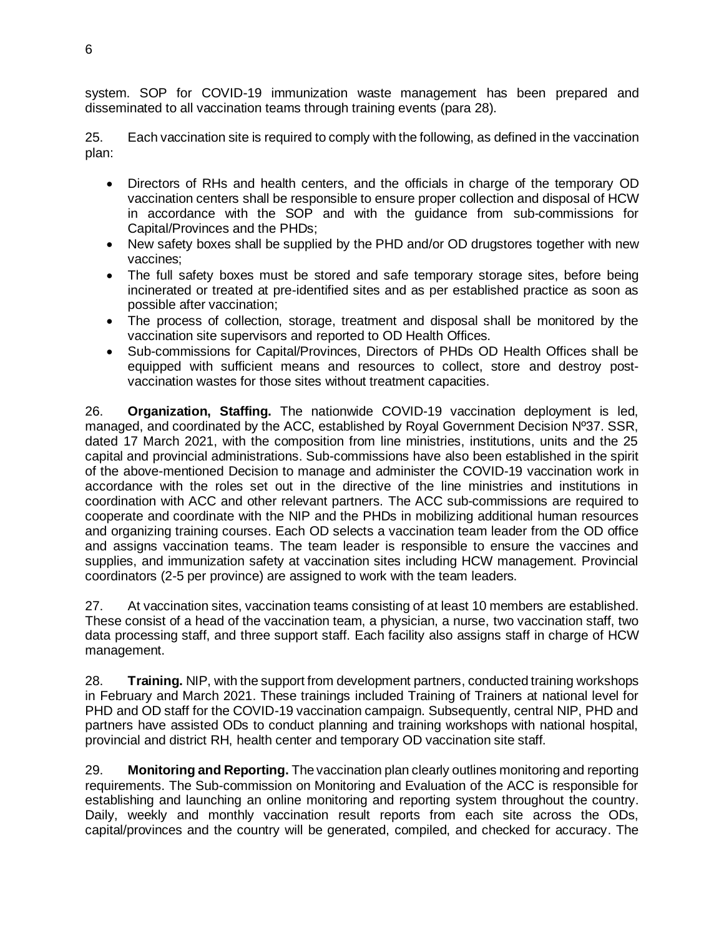system. SOP for COVID-19 immunization waste management has been prepared and disseminated to all vaccination teams through training events (para 28).

25. Each vaccination site is required to comply with the following, as defined in the vaccination plan:

- Directors of RHs and health centers, and the officials in charge of the temporary OD vaccination centers shall be responsible to ensure proper collection and disposal of HCW in accordance with the SOP and with the guidance from sub-commissions for Capital/Provinces and the PHDs;
- New safety boxes shall be supplied by the PHD and/or OD drugstores together with new vaccines;
- The full safety boxes must be stored and safe temporary storage sites, before being incinerated or treated at pre-identified sites and as per established practice as soon as possible after vaccination;
- The process of collection, storage, treatment and disposal shall be monitored by the vaccination site supervisors and reported to OD Health Offices.
- Sub-commissions for Capital/Provinces, Directors of PHDs OD Health Offices shall be equipped with sufficient means and resources to collect, store and destroy postvaccination wastes for those sites without treatment capacities.

26. **Organization, Staffing.** The nationwide COVID-19 vaccination deployment is led, managed, and coordinated by the ACC, established by Royal Government Decision Nº37. SSR, dated 17 March 2021, with the composition from line ministries, institutions, units and the 25 capital and provincial administrations. Sub-commissions have also been established in the spirit of the above-mentioned Decision to manage and administer the COVID-19 vaccination work in accordance with the roles set out in the directive of the line ministries and institutions in coordination with ACC and other relevant partners. The ACC sub-commissions are required to cooperate and coordinate with the NIP and the PHDs in mobilizing additional human resources and organizing training courses. Each OD selects a vaccination team leader from the OD office and assigns vaccination teams. The team leader is responsible to ensure the vaccines and supplies, and immunization safety at vaccination sites including HCW management. Provincial coordinators (2-5 per province) are assigned to work with the team leaders.

27. At vaccination sites, vaccination teams consisting of at least 10 members are established. These consist of a head of the vaccination team, a physician, a nurse, two vaccination staff, two data processing staff, and three support staff. Each facility also assigns staff in charge of HCW management.

28. **Training.** NIP, with the support from development partners, conducted training workshops in February and March 2021. These trainings included Training of Trainers at national level for PHD and OD staff for the COVID-19 vaccination campaign. Subsequently, central NIP, PHD and partners have assisted ODs to conduct planning and training workshops with national hospital, provincial and district RH, health center and temporary OD vaccination site staff.

29. **Monitoring and Reporting.** The vaccination plan clearly outlines monitoring and reporting requirements. The Sub-commission on Monitoring and Evaluation of the ACC is responsible for establishing and launching an online monitoring and reporting system throughout the country. Daily, weekly and monthly vaccination result reports from each site across the ODs, capital/provinces and the country will be generated, compiled, and checked for accuracy. The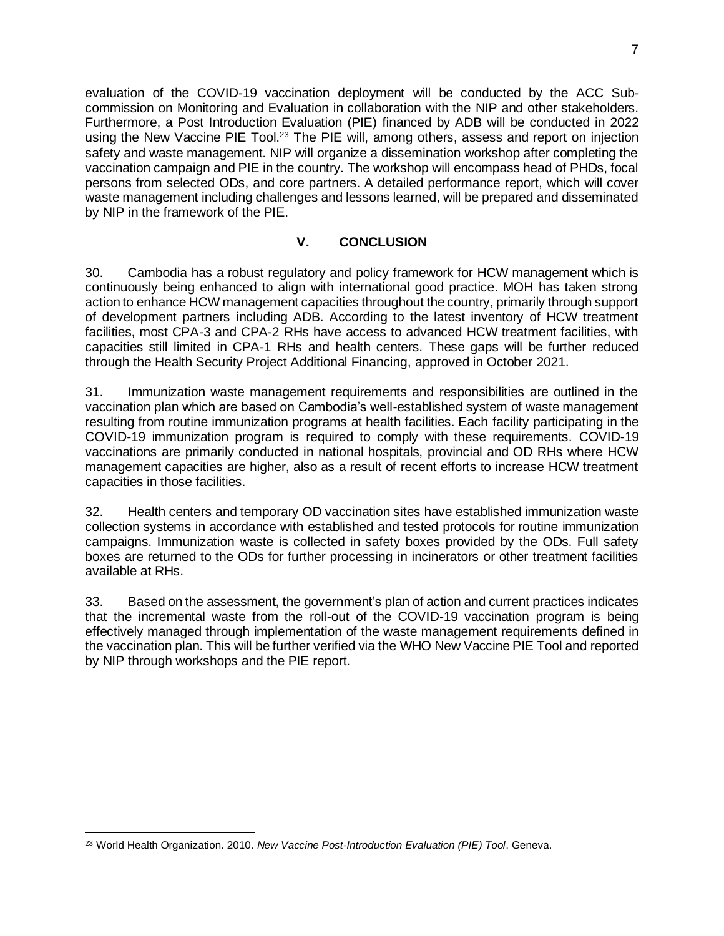evaluation of the COVID-19 vaccination deployment will be conducted by the ACC Subcommission on Monitoring and Evaluation in collaboration with the NIP and other stakeholders. Furthermore, a Post Introduction Evaluation (PIE) financed by ADB will be conducted in 2022 using the New Vaccine PIE Tool.<sup>23</sup> The PIE will, among others, assess and report on injection safety and waste management. NIP will organize a dissemination workshop after completing the vaccination campaign and PIE in the country. The workshop will encompass head of PHDs, focal persons from selected ODs, and core partners. A detailed performance report, which will cover waste management including challenges and lessons learned, will be prepared and disseminated by NIP in the framework of the PIE.

### **V. CONCLUSION**

30. Cambodia has a robust regulatory and policy framework for HCW management which is continuously being enhanced to align with international good practice. MOH has taken strong action to enhance HCW management capacities throughout the country, primarily through support of development partners including ADB. According to the latest inventory of HCW treatment facilities, most CPA-3 and CPA-2 RHs have access to advanced HCW treatment facilities, with capacities still limited in CPA-1 RHs and health centers. These gaps will be further reduced through the Health Security Project Additional Financing, approved in October 2021.

31. Immunization waste management requirements and responsibilities are outlined in the vaccination plan which are based on Cambodia's well-established system of waste management resulting from routine immunization programs at health facilities. Each facility participating in the COVID-19 immunization program is required to comply with these requirements. COVID-19 vaccinations are primarily conducted in national hospitals, provincial and OD RHs where HCW management capacities are higher, also as a result of recent efforts to increase HCW treatment capacities in those facilities.

32. Health centers and temporary OD vaccination sites have established immunization waste collection systems in accordance with established and tested protocols for routine immunization campaigns. Immunization waste is collected in safety boxes provided by the ODs. Full safety boxes are returned to the ODs for further processing in incinerators or other treatment facilities available at RHs.

33. Based on the assessment, the government's plan of action and current practices indicates that the incremental waste from the roll-out of the COVID-19 vaccination program is being effectively managed through implementation of the waste management requirements defined in the vaccination plan. This will be further verified via the WHO New Vaccine PIE Tool and reported by NIP through workshops and the PIE report.

<sup>23</sup> World Health Organization. 2010. *New Vaccine Post-Introduction Evaluation (PIE) Tool*. Geneva.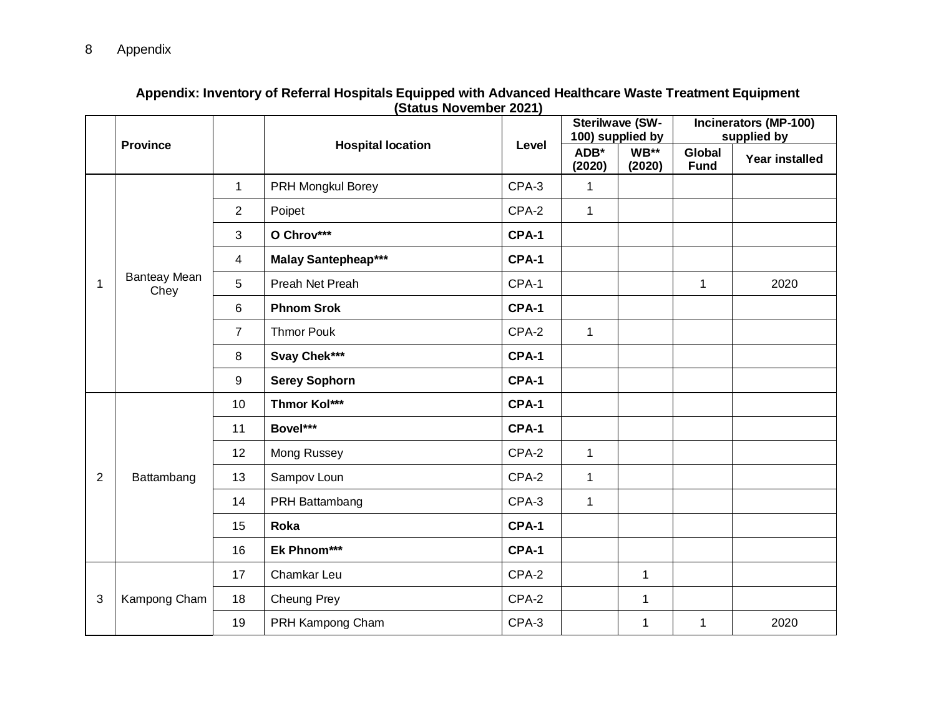|                |                             |                               | <b>Hospital location</b>   |       | <b>Sterilwave (SW-</b><br>100) supplied by |                | Incinerators (MP-100)<br>supplied by |                       |
|----------------|-----------------------------|-------------------------------|----------------------------|-------|--------------------------------------------|----------------|--------------------------------------|-----------------------|
|                | <b>Province</b>             |                               |                            | Level | ADB*<br>(2020)                             | WB**<br>(2020) | <b>Global</b><br><b>Fund</b>         | <b>Year installed</b> |
|                |                             | $\mathbf 1$                   | PRH Mongkul Borey          | CPA-3 | $\mathbf{1}$                               |                |                                      |                       |
|                |                             | $\overline{2}$                | Poipet                     | CPA-2 | $\mathbf{1}$                               |                |                                      |                       |
|                |                             | 3                             | O Chrov***                 | CPA-1 |                                            |                |                                      |                       |
|                |                             | 4                             | <b>Malay Santepheap***</b> | CPA-1 |                                            |                | $\mathbf{1}$<br>2020                 |                       |
| 1              | <b>Banteay Mean</b><br>Chey | 5                             | Preah Net Preah            | CPA-1 |                                            |                |                                      |                       |
|                |                             | 6                             | <b>Phnom Srok</b>          | CPA-1 |                                            |                |                                      |                       |
|                |                             | $\overline{7}$                | <b>Thmor Pouk</b>          | CPA-2 | $\mathbf{1}$                               |                |                                      |                       |
|                |                             | 8                             | Svay Chek***               | CPA-1 |                                            |                |                                      |                       |
|                |                             | 9                             | <b>Serey Sophorn</b>       | CPA-1 |                                            |                |                                      |                       |
|                |                             | 10                            | <b>Thmor Kol***</b>        | CPA-1 |                                            |                |                                      |                       |
|                |                             | 11                            | Bovel***                   | CPA-1 |                                            |                |                                      |                       |
|                |                             | 12                            | Mong Russey                | CPA-2 | $\mathbf{1}$                               |                |                                      |                       |
| $\overline{2}$ | Battambang                  | 13                            | Sampov Loun                | CPA-2 | $\mathbf{1}$                               |                |                                      |                       |
|                |                             | CPA-3<br>14<br>PRH Battambang | $\mathbf{1}$               |       |                                            |                |                                      |                       |
|                |                             | 15                            | Roka                       | CPA-1 |                                            |                |                                      |                       |
|                |                             | 16                            | Ek Phnom***                | CPA-1 |                                            |                |                                      |                       |
|                |                             | 17                            | Chamkar Leu                | CPA-2 |                                            | 1              |                                      |                       |
| 3              | Kampong Cham                | 18                            | Cheung Prey                | CPA-2 |                                            | $\mathbf{1}$   |                                      |                       |
|                |                             | 19                            | PRH Kampong Cham           | CPA-3 |                                            | $\mathbf 1$    | $\mathbf{1}$                         | 2020                  |

#### **Appendix: Inventory of Referral Hospitals Equipped with Advanced Healthcare Waste Treatment Equipment (Status November 2021)**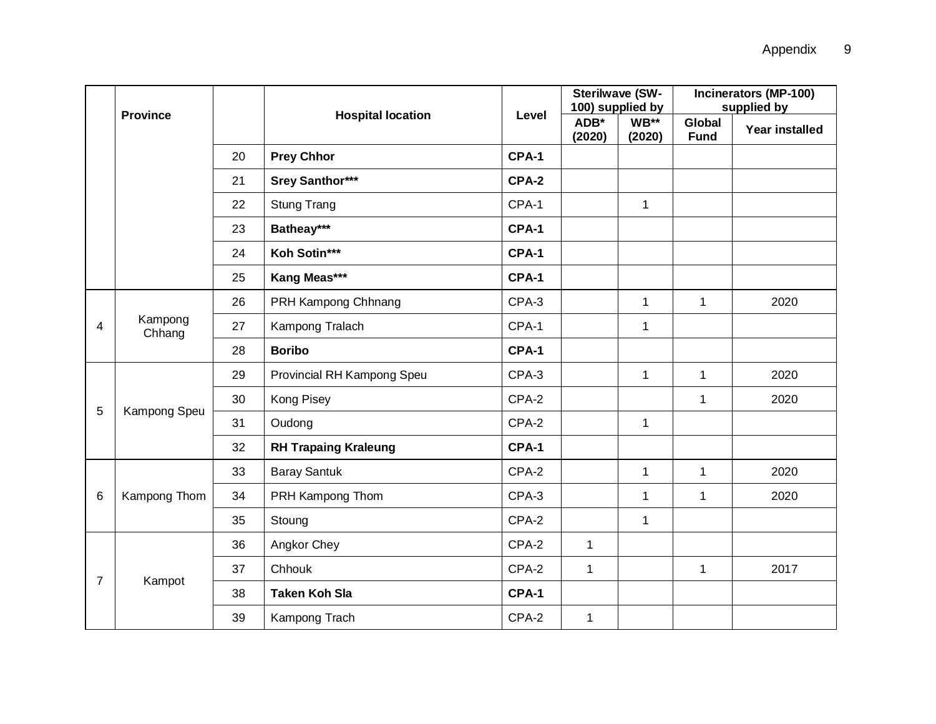|                |                   |                          |                             |                |                | <b>Sterilwave (SW-</b><br>100) supplied by | <b>Incinerators (MP-100)</b>                                                                                 |      |
|----------------|-------------------|--------------------------|-----------------------------|----------------|----------------|--------------------------------------------|--------------------------------------------------------------------------------------------------------------|------|
|                | <b>Province</b>   | <b>Hospital location</b> | Level                       | ADB*<br>(2020) | WB**<br>(2020) | Global<br><b>Fund</b>                      | Year installed                                                                                               |      |
|                |                   | 20                       | <b>Prey Chhor</b>           | CPA-1          |                |                                            |                                                                                                              |      |
|                |                   | 21                       | <b>Srey Santhor***</b>      | CPA-2          |                |                                            |                                                                                                              |      |
|                |                   | 22                       | <b>Stung Trang</b>          | CPA-1          |                | $\mathbf{1}$                               |                                                                                                              |      |
|                |                   | 23                       | Batheay***                  | CPA-1          |                |                                            |                                                                                                              |      |
|                |                   | 24                       | Koh Sotin***                | CPA-1          |                |                                            |                                                                                                              |      |
|                |                   | 25                       | Kang Meas***                | CPA-1          |                |                                            |                                                                                                              |      |
|                |                   | 26                       | PRH Kampong Chhnang         | CPA-3          |                | $\mathbf{1}$                               | $\mathbf{1}$                                                                                                 | 2020 |
| 4              | Kampong<br>Chhang | 27                       | Kampong Tralach             | CPA-1          |                | $\mathbf{1}$                               | supplied by<br>2020<br>$\mathbf{1}$<br>2020<br>1<br>2020<br>$\mathbf{1}$<br>2020<br>$\mathbf 1$<br>2017<br>1 |      |
|                |                   | 28                       | <b>Boribo</b>               | CPA-1          |                |                                            |                                                                                                              |      |
|                | Kampong Speu      | 29                       | Provincial RH Kampong Speu  | CPA-3          |                | $\mathbf{1}$                               |                                                                                                              |      |
| 5              |                   | 30                       | Kong Pisey                  | CPA-2          |                |                                            |                                                                                                              |      |
|                |                   | 31                       | Oudong                      | CPA-2          |                | $\mathbf 1$                                |                                                                                                              |      |
|                |                   | 32                       | <b>RH Trapaing Kraleung</b> | CPA-1          |                |                                            |                                                                                                              |      |
|                |                   | 33                       | <b>Baray Santuk</b>         | CPA-2          |                | $\mathbf{1}$                               |                                                                                                              |      |
| 6              | Kampong Thom      | 34                       | PRH Kampong Thom            | CPA-3          |                | $\mathbf 1$                                |                                                                                                              |      |
|                |                   | 35                       | Stoung                      | CPA-2          |                | $\mathbf{1}$                               |                                                                                                              |      |
|                |                   | 36                       | Angkor Chey                 | CPA-2          | $\mathbf 1$    |                                            |                                                                                                              |      |
| $\overline{7}$ |                   | 37                       | Chhouk                      | CPA-2          | 1              |                                            |                                                                                                              |      |
|                | Kampot            | 38                       | <b>Taken Koh Sla</b>        | CPA-1          |                |                                            |                                                                                                              |      |
|                |                   | 39                       | Kampong Trach               | CPA-2          | $\mathbf 1$    |                                            |                                                                                                              |      |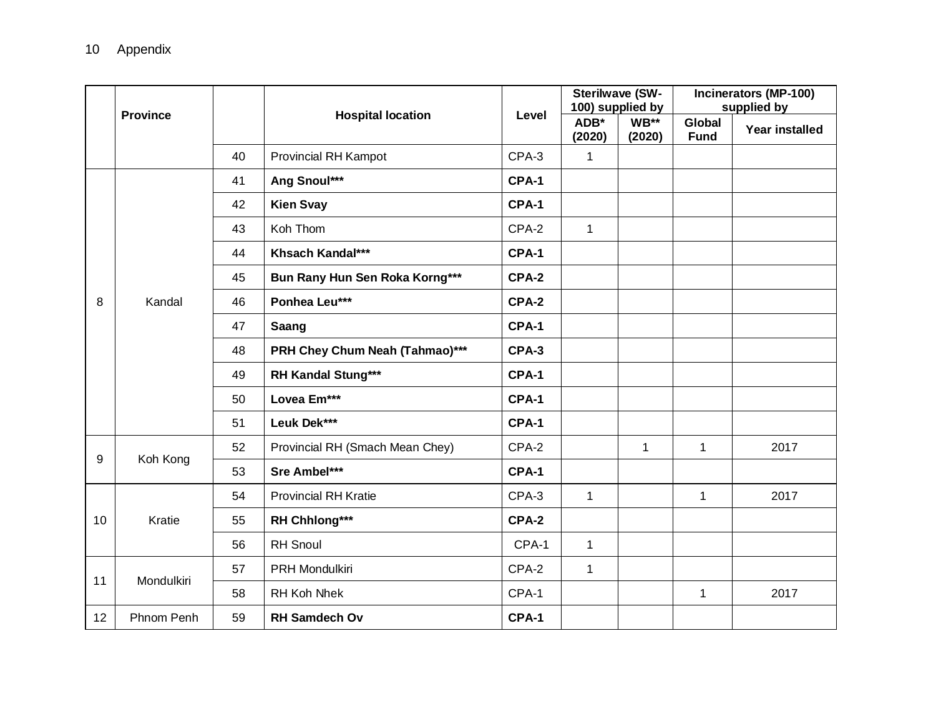|    |                 |    |                                 |       |                | <b>Sterilwave (SW-</b><br>100) supplied by   |                       | Incinerators (MP-100)<br>supplied by |
|----|-----------------|----|---------------------------------|-------|----------------|----------------------------------------------|-----------------------|--------------------------------------|
|    | <b>Province</b> |    | <b>Hospital location</b>        | Level | ADB*<br>(2020) | WB**<br>(2020)                               | Global<br><b>Fund</b> | Year installed                       |
|    |                 | 40 | <b>Provincial RH Kampot</b>     | CPA-3 | $\mathbf 1$    |                                              |                       |                                      |
|    |                 | 41 | Ang Snoul***                    | CPA-1 |                |                                              |                       |                                      |
|    |                 | 42 | <b>Kien Svay</b>                | CPA-1 |                |                                              |                       |                                      |
|    |                 | 43 | Koh Thom                        | CPA-2 | $\mathbf{1}$   |                                              |                       |                                      |
|    |                 | 44 | Khsach Kandal***                | CPA-1 |                |                                              |                       |                                      |
|    |                 | 45 | Bun Rany Hun Sen Roka Korng***  | CPA-2 |                |                                              |                       |                                      |
| 8  | Kandal          | 46 | Ponhea Leu***                   | CPA-2 |                | $\mathbf{1}$<br>$\mathbf{1}$<br>$\mathbf{1}$ |                       |                                      |
|    |                 | 47 | Saang                           | CPA-1 |                |                                              |                       |                                      |
|    |                 | 48 | PRH Chey Chum Neah (Tahmao)***  | CPA-3 |                |                                              |                       |                                      |
|    |                 | 49 | <b>RH Kandal Stung***</b>       | CPA-1 |                |                                              |                       |                                      |
|    |                 | 50 | Lovea Em***                     | CPA-1 |                |                                              |                       |                                      |
|    |                 | 51 | Leuk Dek***                     | CPA-1 |                |                                              |                       |                                      |
|    |                 | 52 | Provincial RH (Smach Mean Chey) | CPA-2 |                |                                              |                       | 2017                                 |
| 9  | Koh Kong        | 53 | Sre Ambel***                    | CPA-1 |                |                                              |                       |                                      |
|    |                 | 54 | <b>Provincial RH Kratie</b>     | CPA-3 | $\mathbf{1}$   |                                              |                       | 2017                                 |
| 10 | Kratie          | 55 | RH Chhlong***                   | CPA-2 |                |                                              |                       |                                      |
|    |                 | 56 | <b>RH</b> Snoul                 | CPA-1 | 1              |                                              |                       |                                      |
|    |                 | 57 | <b>PRH Mondulkiri</b>           | CPA-2 | 1              |                                              |                       |                                      |
| 11 | Mondulkiri      | 58 | RH Koh Nhek                     | CPA-1 |                |                                              | $\mathbf{1}$          | 2017                                 |
| 12 | Phnom Penh      | 59 | <b>RH Samdech Ov</b>            | CPA-1 |                |                                              |                       |                                      |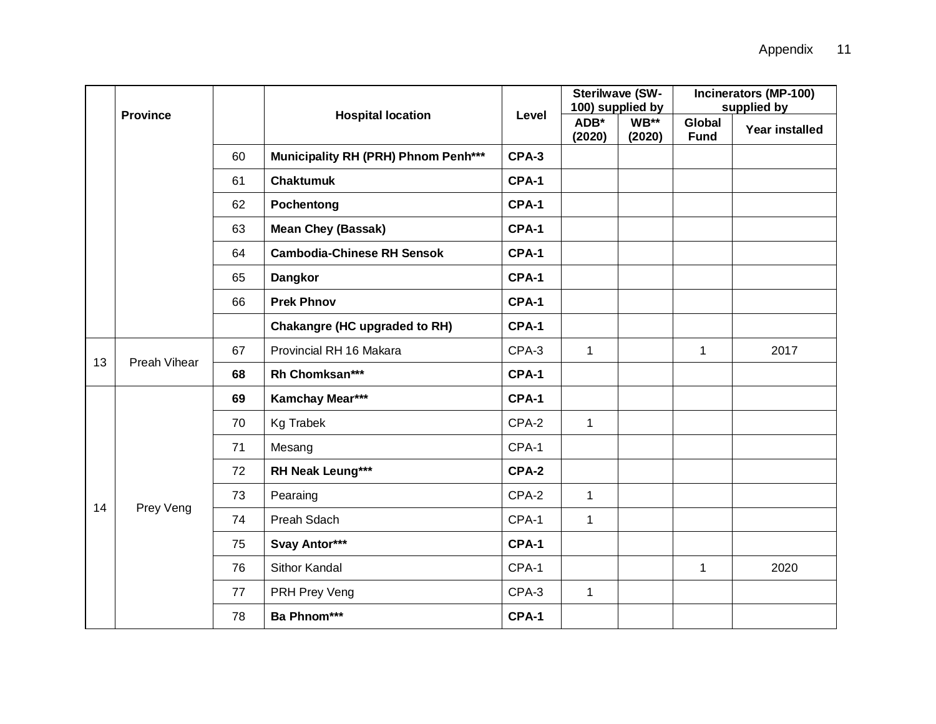|    |                 |    |                                            |       | <b>Sterilwave (SW-</b><br>100) supplied by |                | Incinerators (MP-100)<br>supplied by |                |
|----|-----------------|----|--------------------------------------------|-------|--------------------------------------------|----------------|--------------------------------------|----------------|
|    | <b>Province</b> |    | <b>Hospital location</b>                   | Level | ADB*<br>(2020)                             | WB**<br>(2020) | Global<br><b>Fund</b>                | Year installed |
|    |                 | 60 | <b>Municipality RH (PRH) Phnom Penh***</b> | CPA-3 |                                            |                |                                      |                |
|    |                 | 61 | <b>Chaktumuk</b>                           | CPA-1 |                                            |                |                                      |                |
|    |                 | 62 | Pochentong                                 | CPA-1 |                                            |                |                                      |                |
|    |                 | 63 | <b>Mean Chey (Bassak)</b>                  | CPA-1 |                                            |                |                                      |                |
|    |                 | 64 | <b>Cambodia-Chinese RH Sensok</b>          | CPA-1 |                                            |                |                                      |                |
|    |                 | 65 | <b>Dangkor</b>                             | CPA-1 |                                            |                |                                      |                |
|    |                 | 66 | <b>Prek Phnov</b>                          | CPA-1 |                                            |                |                                      |                |
|    |                 |    | <b>Chakangre (HC upgraded to RH)</b>       | CPA-1 |                                            |                |                                      |                |
| 13 | Preah Vihear    | 67 | Provincial RH 16 Makara                    | CPA-3 | $\mathbf{1}$                               |                | 1                                    | 2017           |
|    |                 | 68 | Rh Chomksan***                             | CPA-1 |                                            |                |                                      |                |
|    |                 | 69 | Kamchay Mear***                            | CPA-1 |                                            |                |                                      |                |
|    |                 | 70 | <b>Kg Trabek</b>                           | CPA-2 | $\mathbf{1}$                               |                |                                      |                |
|    |                 | 71 | Mesang                                     | CPA-1 |                                            |                |                                      |                |
|    |                 | 72 | RH Neak Leung***                           | CPA-2 |                                            |                |                                      |                |
| 14 | Prey Veng       | 73 | Pearaing                                   | CPA-2 | $\mathbf{1}$                               |                |                                      |                |
|    |                 | 74 | Preah Sdach                                | CPA-1 | $\mathbf{1}$                               |                |                                      |                |
|    |                 | 75 | Svay Antor***                              | CPA-1 |                                            |                |                                      |                |
|    |                 | 76 | Sithor Kandal                              | CPA-1 |                                            |                | 1                                    | 2020           |
|    |                 | 77 | PRH Prey Veng                              | CPA-3 | $\mathbf{1}$                               |                |                                      |                |
|    |                 | 78 | Ba Phnom***                                | CPA-1 |                                            |                |                                      |                |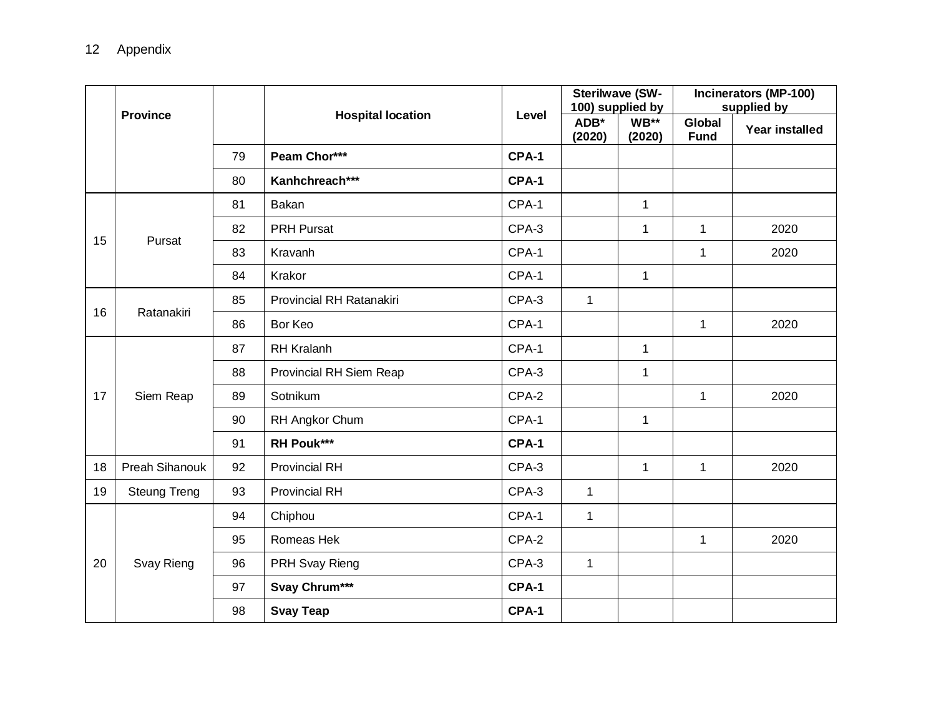|    |                     |    |                          |       | <b>Sterilwave (SW-</b><br>100) supplied by |                | Incinerators (MP-100)<br>supplied by                                                                                                 |                       |
|----|---------------------|----|--------------------------|-------|--------------------------------------------|----------------|--------------------------------------------------------------------------------------------------------------------------------------|-----------------------|
|    | <b>Province</b>     |    | <b>Hospital location</b> | Level | ADB*<br>(2020)                             | WB**<br>(2020) | Global<br><b>Fund</b>                                                                                                                | <b>Year installed</b> |
|    |                     | 79 | Peam Chor***             | CPA-1 |                                            |                |                                                                                                                                      |                       |
|    |                     | 80 | Kanhchreach***           | CPA-1 |                                            |                |                                                                                                                                      |                       |
|    |                     | 81 | Bakan                    | CPA-1 |                                            | $\mathbf{1}$   |                                                                                                                                      |                       |
| 15 | Pursat              | 82 | <b>PRH Pursat</b>        | CPA-3 |                                            | $\mathbf{1}$   | $\mathbf{1}$                                                                                                                         | 2020                  |
|    |                     | 83 | Kravanh                  | CPA-1 |                                            |                | $\mathbf{1}$<br>2020                                                                                                                 |                       |
|    |                     | 84 | Krakor                   | CPA-1 |                                            | $\mathbf 1$    |                                                                                                                                      |                       |
|    |                     | 85 | Provincial RH Ratanakiri | CPA-3 | $\mathbf{1}$                               |                | 2020<br>$\mathbf{1}$<br>$\mathbf 1$<br>$\mathbf{1}$<br>1<br>2020<br>$\mathbf 1$<br>2020<br>$\mathbf{1}$<br>$\mathbf{1}$<br>2020<br>1 |                       |
| 16 | Ratanakiri          | 86 | Bor Keo                  | CPA-1 |                                            |                |                                                                                                                                      |                       |
|    |                     | 87 | <b>RH Kralanh</b>        | CPA-1 |                                            |                |                                                                                                                                      |                       |
|    |                     | 88 | Provincial RH Siem Reap  | CPA-3 |                                            |                |                                                                                                                                      |                       |
| 17 | Siem Reap           | 89 | Sotnikum                 | CPA-2 |                                            |                |                                                                                                                                      |                       |
|    |                     | 90 | RH Angkor Chum           | CPA-1 |                                            |                |                                                                                                                                      |                       |
|    |                     | 91 | <b>RH Pouk***</b>        | CPA-1 |                                            |                |                                                                                                                                      |                       |
| 18 | Preah Sihanouk      | 92 | <b>Provincial RH</b>     | CPA-3 |                                            |                |                                                                                                                                      |                       |
| 19 | <b>Steung Treng</b> | 93 | <b>Provincial RH</b>     | CPA-3 | $\mathbf{1}$                               |                |                                                                                                                                      |                       |
|    |                     | 94 | Chiphou                  | CPA-1 | $\mathbf{1}$                               |                |                                                                                                                                      |                       |
|    |                     | 95 | Romeas Hek               | CPA-2 |                                            |                |                                                                                                                                      |                       |
| 20 | Svay Rieng          | 96 | PRH Svay Rieng           | CPA-3 | $\mathbf{1}$                               |                |                                                                                                                                      |                       |
|    |                     | 97 | Svay Chrum***            | CPA-1 |                                            |                |                                                                                                                                      |                       |
|    |                     | 98 | <b>Svay Teap</b>         | CPA-1 |                                            |                |                                                                                                                                      |                       |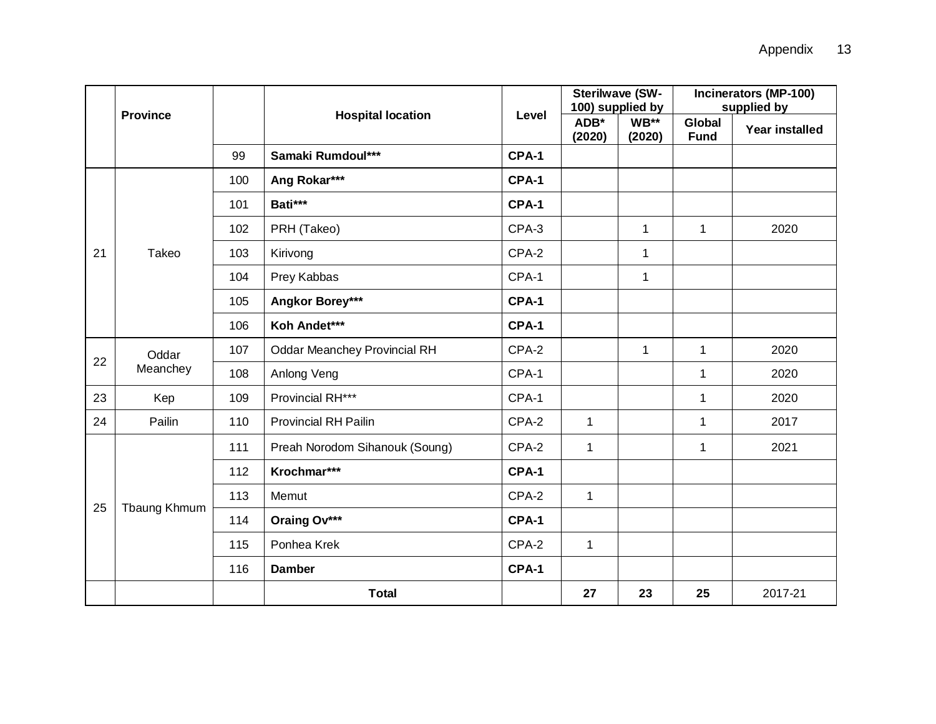|    |                 |     |                                     |       | <b>Sterilwave (SW-</b><br>100) supplied by |                  | Incinerators (MP-100)<br>supplied by |                                                                       |
|----|-----------------|-----|-------------------------------------|-------|--------------------------------------------|------------------|--------------------------------------|-----------------------------------------------------------------------|
|    | <b>Province</b> |     | <b>Hospital location</b>            | Level | ADB*<br>(2020)                             | $WB**$<br>(2020) | <b>Global</b><br><b>Fund</b>         | <b>Year installed</b><br>2020<br>2020<br>2020<br>2020<br>2017<br>2021 |
|    |                 | 99  | Samaki Rumdoul***                   | CPA-1 |                                            |                  |                                      |                                                                       |
|    |                 | 100 | Ang Rokar***                        | CPA-1 |                                            |                  |                                      |                                                                       |
|    |                 | 101 | Bati***                             | CPA-1 |                                            |                  |                                      |                                                                       |
|    |                 | 102 | PRH (Takeo)                         | CPA-3 |                                            | $\mathbf{1}$     | $\mathbf{1}$                         |                                                                       |
| 21 | Takeo           | 103 | Kirivong                            | CPA-2 |                                            | $\mathbf{1}$     |                                      |                                                                       |
|    |                 | 104 | Prey Kabbas                         | CPA-1 |                                            | $\mathbf 1$      |                                      |                                                                       |
|    |                 | 105 | Angkor Borey***                     | CPA-1 |                                            |                  |                                      |                                                                       |
|    |                 | 106 | Koh Andet***                        | CPA-1 |                                            |                  |                                      |                                                                       |
| 22 | Oddar           | 107 | <b>Oddar Meanchey Provincial RH</b> | CPA-2 |                                            | $\mathbf{1}$     | $\mathbf{1}$                         |                                                                       |
|    | Meanchey        | 108 | Anlong Veng                         | CPA-1 |                                            |                  | $\mathbf{1}$                         |                                                                       |
| 23 | Kep             | 109 | Provincial RH***                    | CPA-1 |                                            |                  | $\mathbf 1$                          |                                                                       |
| 24 | Pailin          | 110 | <b>Provincial RH Pailin</b>         | CPA-2 | $\mathbf{1}$                               |                  | $\mathbf 1$                          |                                                                       |
|    |                 | 111 | Preah Norodom Sihanouk (Soung)      | CPA-2 | $\mathbf{1}$                               |                  | 1                                    |                                                                       |
|    |                 | 112 | Krochmar***                         | CPA-1 |                                            |                  |                                      |                                                                       |
|    |                 | 113 | Memut                               | CPA-2 | $\mathbf 1$                                |                  |                                      |                                                                       |
| 25 | Tbaung Khmum    | 114 | Oraing Ov***                        | CPA-1 |                                            |                  |                                      |                                                                       |
|    |                 | 115 | Ponhea Krek                         | CPA-2 | $\mathbf{1}$                               |                  |                                      |                                                                       |
|    |                 | 116 | <b>Damber</b>                       | CPA-1 |                                            |                  |                                      |                                                                       |
|    |                 |     | <b>Total</b>                        |       | 27                                         | 23               | 25                                   | 2017-21                                                               |